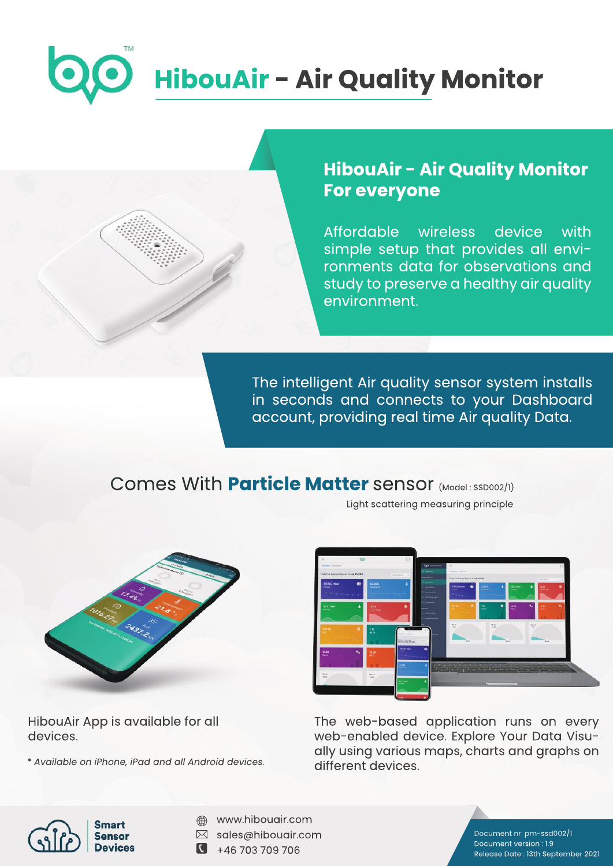# **HibouAir - Air Quality Monitor**

### **HibouAir - Air Quality Monitor For everyone**

Affordable wireless device with simple setup that provides all environments data for observations and study to preserve a healthy air quality environment.

The intelligent Air quality sensor system installs in seconds and connects to your Dashboard account, providing real time Air quality Data.

## Comes With **Particle Matter** sensor (Model: SSD002/1)

Light scattering measuring principle



HibouAir App is available for all devices.

*\*AvailableoniPhone,iPadandallAndroiddevices.*



The web-based application runs on every web-enabled device. Explore Your Data Visually using various maps, charts and graphs on different devices.



- www.hibouair.com  $\bigoplus$
- $\boxtimes$  sales@hibouair.com
- $\bullet$  +46 703 709 706

Document nr: pm-ssd002/1 Document version: 1.9 Release Date: 13th September 2021